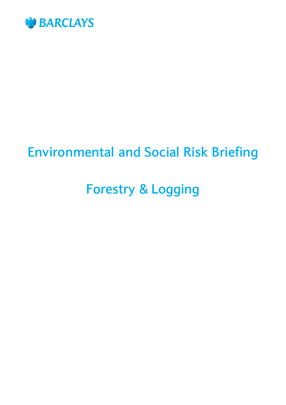

# **Environmental and Social Risk Briefing**

# **Forestry & Logging**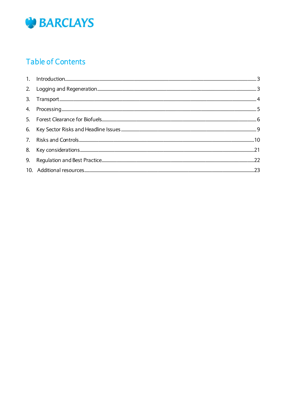

## **Table of Contents**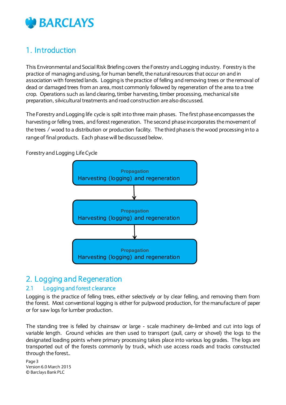

## <span id="page-2-0"></span>1. Introduction

This Environmental and Social Risk Briefing covers the Forestry and Logging industry. Forestry is the practice of managing and using, for human benefit, the natural resources that occur on and in association with forested lands. Logging is the practice of felling and removing trees or the removal of dead or damaged trees from an area, most commonly followed by regeneration of the area to a tree crop. Operations such as land clearing, timber harvesting, timber processing, mechanical site preparation, silvicultural treatments and road construction are also discussed.

The Forestry and Logging life cycle is spilt into three main phases. The first phase encompasses the harvesting or felling trees, and forest regeneration. The second phase incorporates the movement of the trees / wood to a distribution or production facility. The third phase is the wood processing into a range of final products. Each phase will be discussed below.

Forestry and Logging Life Cycle



## <span id="page-2-1"></span>2. Logging and Regeneration

#### 2.1 Logging and forest clearance

Logging is the practice of felling trees, either selectively or by clear felling, and removing them from the forest. Most conventional logging is either for pulpwood production, for the manufacture of paper or for saw logs for lumber production.

The standing tree is felled by chainsaw or large - scale machinery de-limbed and cut into logs of variable length. Ground vehicles are then used to transport (pull, carry or shovel) the logs to the designated loading points where primary processing takes place into various log grades. The logs are transported out of the forests commonly by truck, which use access roads and tracks constructed through the forest..

Page 3 Version 6.0 March 2015 © Barclays Bank PLC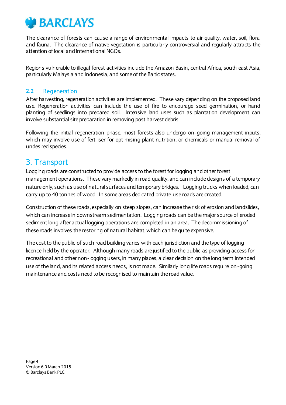

The clearance of forests can cause a range of environmental impacts to air quality, water, soil, flora and fauna. The clearance of native vegetation is particularly controversial and regularly attracts the attention of local and international NGOs.

Regions vulnerable to illegal forest activities include the Amazon Basin, central Africa, south east Asia, particularly Malaysia and Indonesia, and some of the Baltic states.

#### **2.2** Regeneration

After harvesting, regeneration activities are implemented. These vary depending on the proposed land use. Regeneration activities can include the use of fire to encourage seed germination, or hand planting of seedlings into prepared soil. Intensive land uses such as plantation development can involve substantial site preparation in removing post harvest debris.

Following the initial regeneration phase, most forests also undergo on-going management inputs, which may involve use of fertiliser for optimising plant nutrition, or chemicals or manual removal of undesired species.

## <span id="page-3-0"></span>3. Transport

Logging roads are constructed to provide access to the forest for logging and other forest management operations. These vary markedly in road quality, and can include designs of a temporary nature only, such as use of natural surfaces and temporary bridges. Logging trucks when loaded, can carry up to 40 tonnes of wood. In some areas dedicated private use roads are created.

Construction of these roads, especially on steep slopes, can increase the risk of erosion and landslides, which can increase in downstream sedimentation. Logging roads can be the major source of eroded sediment long after actual logging operations are completed in an area. The decommissioning of these roads involves the restoring of natural habitat, which can be quite expensive.

The cost to the public of such road building varies with each jurisdiction and the type of logging licence held by the operator. Although many roads are justified to the public as providing access for recreational and other non-logging users, in many places, a clear decision on the long term intended use of the land, and its related access needs, is not made. Similarly long life roads require on-going maintenance and costs need to be recognised to maintain the road value.

Page 4 Version 6.0 March 2015 © Barclays Bank PLC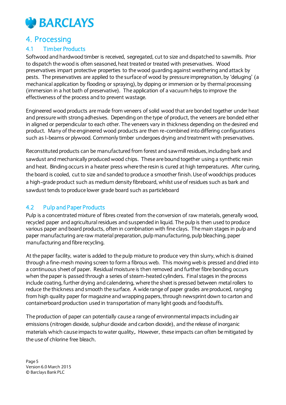

## <span id="page-4-0"></span>4. Processing

#### 4.1 Timber Products

Softwood and hardwood timber is received, segregated, cut to size and dispatched to sawmills. Prior to dispatch the wood is often seasoned, heat treated or treated with preservatives. Wood preservatives impart protective properties to the wood guarding against weathering and attack by pests. The preservatives are applied to the surface of wood by pressure impregnation, by 'deluging' (a mechanical application by flooding or spraying), by dipping or immersion or by thermal processing (immersion in a hot bath of preservative). The application of a vacuum helps to improve the effectiveness of the process and to prevent wastage.

Engineered wood products are made from veneers of solid wood that are bonded together under heat and pressure with strong adhesives. Depending on the type of product, the veneers are bonded either in aligned or perpendicular to each other. The veneers vary in thickness depending on the desired end product. Many of the engineered wood products are then re-combined into differing configurations such as I-beams or plywood. Commonly timber undergoes drying and treatment with preservatives.

Reconstituted products can be manufactured from forest and sawmill residues, including bark and sawdust and mechanically produced wood chips. These are bound together using a synthetic resin and heat. Binding occurs in a heater press where the resin is cured at high temperatures. After curing, the board is cooled, cut to size and sanded to produce a smoother finish. Use of woodchips produces a high-grade product such as medium density fibreboard, whilst use of residues such as bark and sawdust tends to produce lower grade board such as particleboard

#### 4.2 Pulp and Paper Products

Pulp is a concentrated mixture of fibres created from the conversion of raw materials, generally wood, recycled paper and agricultural residues and suspended in liquid. The pulp is then used to produce various paper and board products, often in combination with fine clays. The main stages in pulp and paper manufacturing are raw material preparation, pulp manufacturing, pulp bleaching, paper manufacturing and fibre recycling.

At the paper facility, water is added to the pulp mixture to produce very thin slurry, which is drained through a fine-mesh moving screen to form a fibrous web. This moving web is pressed and dried into a continuous sheet of paper. Residual moisture is then removed and further fibre bonding occurs when the paper is passed through a series of steam-heated cylinders. Final stages in the process include coating, further drying and calendering, where the sheet is pressed between metal rollers to reduce the thickness and smooth the surface. A wide range of paper grades are produced, ranging from high quality paper for magazine and wrapping papers, through newsprint down to carton and containerboard production used in transportation of many light goods and foodstuffs.

The production of paper can potentially cause a range of environmental impacts including air emissions (nitrogen dioxide, sulphur dioxide and carbon dioxide), and the release of inorganic materials which cause impacts to water quality,. However, these impacts can often be mitigated by the use of chlorine free bleach.

Page 5 Version 6.0 March 2015 © Barclays Bank PLC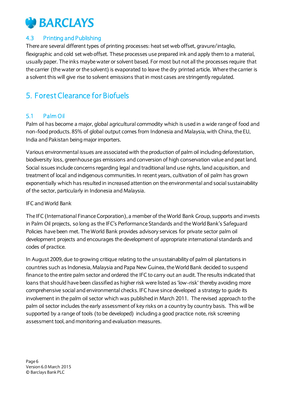## **CREARCLAYS**

#### 4.3 Printing and Publishing

There are several different types of printing processes: heat set web offset, gravure/intaglio, flexigraphic and cold set web offset. These processes use prepared ink and apply them to a material, usually paper. The inks maybe water or solvent based. For most but not all the processes require that the carrier (the water or the solvent) is evaporated to leave the dry printed article. Where the carrier is a solvent this will give rise to solvent emissions that in most cases are stringently regulated.

## <span id="page-5-0"></span>5. Forest Clearance for Biofuels

#### 5.1 Palm Oil

Palm oil has become a major, global agricultural commodity which is used in a wide range of food and non-food products. 85% of global output comes from Indonesia and Malaysia, with China, the EU, India and Pakistan being major importers.

Various environmental issues are associated with the production of palm oil including deforestation, biodiversity loss, greenhouse gas emissions and conversion of high conservation value and peat land. Social issues include concerns regarding legal and traditional land use rights, land acquisition, and treatment of local and indigenous communities. In recent years, cultivation of oil palm has grown exponentially which has resulted in increased attention on the environmental and social sustainability of the sector, particularly in Indonesia and Malaysia.

#### IFC and World Bank

The IFC (International Finance Corporation), a member of the World Bank Group, supports and invests in Palm Oil projects, so long as the IFC's Performance Standards and the World Bank's Safeguard Policies have been met. The World Bank provides advisory services for private sector palm oil development projects and encourages the development of appropriate international standards and codes of practice.

In August 2009, due to growing critique relating to the unsustainability of palm oil plantations in countries such as Indonesia, Malaysia and Papa New Guinea, the World Bank decided to suspend finance to the entire palm sector and ordered the IFC to carry out an audit. The results indicated that loans that should have been classified as higher risk were listed as 'low-risk' thereby avoiding more comprehensive social and environmental checks. IFC have since developed a strategy to guide its involvement in the palm oil sector which was published in March 2011. The revised approach to the palm oil sector includes the early assessment of key risks on a country by country basis. This will be supported by a range of tools (to be developed) including a good practice note, risk screening assessment tool, and monitoring and evaluation measures.

Page 6 Version 6.0 March 2015 © Barclays Bank PLC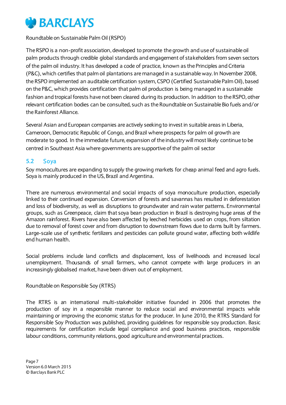

Roundtable on Sustainable Palm Oil (RSPO)

The RSPO is a non-profit association, developed to promote the growth and use of sustainable oil palm products through credible global standards and engagement of stakeholders from seven sectors of the palm oil industry. It has developed a code of practice, known as the Principles and Criteria (P&C), which certifies that palm oil plantations are managed in a sustainable way. In November 2008, the RSPO implemented an auditable certification system, CSPO (Certified Sustainable Palm Oil), based on the P&C, which provides certification that palm oil production is being managed in a sustainable fashion and tropical forests have not been cleared during its production. In addition to the RSPO, other relevant certification bodies can be consulted, such as the Roundtable on Sustainable Bio fuels and/or the Rainforest Alliance.

Several Asian and European companies are actively seeking to invest in suitable areas in Liberia, Cameroon, Democratic Republic of Congo, and Brazil where prospects for palm oil growth are moderate to good. In the immediate future, expansion of the industry will most likely continue to be centred in Southeast Asia where governments are supportive of the palm oil sector

#### **5.2** Soya

Soy monocultures are expanding to supply the growing markets for cheap animal feed and agro fuels. Soya is mainly produced in the US, Brazil and Argentina.

There are numerous environmental and social impacts of soya monoculture production, especially linked to their continued expansion. Conversion of forests and savannas has resulted in deforestation and loss of biodiversity, as well as disruptions to groundwater and rain water patterns. Environmental groups, such as Greenpeace, claim that soya bean production in Brazil is destroying huge areas of the Amazon rainforest. Rivers have also been affected by leeched herbicides used on crops, from siltation due to removal of forest cover and from disruption to downstream flows due to dams built by farmers. Large-scale use of synthetic fertilizers and pesticides can pollute ground water, affecting both wildlife end human health.

Social problems include land conflicts and displacement, loss of livelihoods and increased local unemployment. Thousands of small farmers, who cannot compete with large producers in an increasingly globalised market, have been driven out of employment.

Roundtable on Responsible Soy (RTRS)

The RTRS is an international multi-stakeholder initiative founded in 2006 that promotes the production of soy in a responsible manner to reduce social and environmental impacts while maintaining or improving the economic status for the producer. In June 2010, the RTRS Standard for Responsible Soy Production was published, providing guidelines for responsible soy production. Basic requirements for certification include legal compliance and good business practices, responsible labour conditions, community relations, good agriculture and environmental practices.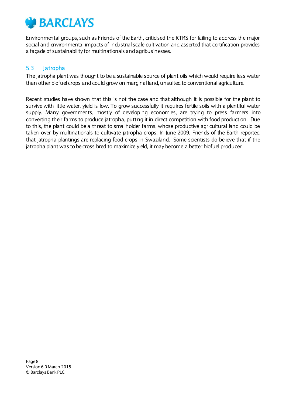

Environmental groups, such as Friends of the Earth, criticised the RTRS for failing to address the major social and environmental impacts of industrial scale cultivation and asserted that certification provides a façade of sustainability for multinationals and agribusinesses.

#### 5.3 Jatropha

The jatropha plant was thought to be a sustainable source of plant oils which would require less water than other biofuel crops and could grow on marginal land, unsuited to conventional agriculture.

Recent studies have shown that this is not the case and that although it is possible for the plant to survive with little water, yield is low. To grow successfully it requires fertile soils with a plentiful water supply. Many governments, mostly of developing economies, are trying to press farmers into converting their farms to produce jatropha, putting it in direct competition with food production. Due to this, the plant could be a threat to smallholder farms, whose productive agricultural land could be taken over by multinationals to cultivate jatropha crops. In June 2009, Friends of the Earth reported that jatropha plantings are replacing food crops in Swaziland. Some scientists do believe that if the jatropha plant was to be cross bred to maximize yield, it may become a better biofuel producer.

Page 8 Version 6.0 March 2015 © Barclays Bank PLC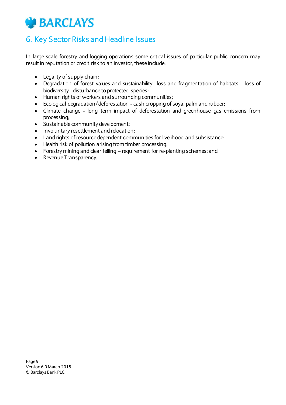## **CONTRACTE BARCLAYS**

## <span id="page-8-0"></span>6. Key Sector Risks and Headline Issues

In large-scale forestry and logging operations some critical issues of particular public concern may result in reputation or credit risk to an investor, these include:

- Legality of supply chain;
- Degradation of forest values and sustainability- loss and fragmentation of habitats loss of biodiversity- disturbance to protected species;
- Human rights of workers and surrounding communities;
- Ecological degradation/deforestation cash cropping of soya, palm and rubber;
- Climate change long term impact of deforestation and greenhouse gas emissions from processing;
- Sustainable community development;
- Involuntary resettlement and relocation;
- Land rights of resource dependent communities for livelihood and subsistance;
- Health risk of pollution arising from timber processing;
- Forestry mining and clear felling requirement for re-planting schemes; and
- Revenue Transparency.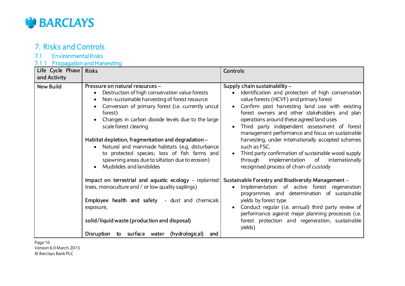

## 7. Risks and Controls

#### 7.1 Environmental Risks

#### 7.1.1 Propagation and Harvesting

| Life Cycle Phase<br>and Activity | <b>Risks</b>                                                                                                                                                                                                                                                                                                                                                                                                                                                                                                                          | <b>Controls</b>                                                                                                                                                                                                                                                                                                                                                                                                                                                                                                                                                                                                                     |
|----------------------------------|---------------------------------------------------------------------------------------------------------------------------------------------------------------------------------------------------------------------------------------------------------------------------------------------------------------------------------------------------------------------------------------------------------------------------------------------------------------------------------------------------------------------------------------|-------------------------------------------------------------------------------------------------------------------------------------------------------------------------------------------------------------------------------------------------------------------------------------------------------------------------------------------------------------------------------------------------------------------------------------------------------------------------------------------------------------------------------------------------------------------------------------------------------------------------------------|
| <b>New Build</b>                 | Pressure on natural resources -<br>Destruction of high conservation value forests<br>Non-sustainable harvesting of forest resource<br>Conversion of primary forest (i.e. currently uncut<br>forest)<br>Changes in carbon dioxide levels due to the large<br>scale forest clearing<br>Habitat depletion, fragmentation and degradation -<br>Natural and manmade habitats (e.g. disturbance<br>$\bullet$<br>to protected species; loss of fish farms and<br>spawning areas due to siltation due to erosion)<br>Mudslides and landslides | Supply chain sustainability -<br>Identification and protection of high conservation<br>$\bullet$<br>value forests (HCVF) and primary forest<br>Confirm post harvesting land use with existing<br>forest owners and other stakeholders and plan<br>operations around these agreed land uses<br>Third party independent assessment of forest<br>management performance and focus on sustainable<br>harvesting, under intemationally accepted schemes<br>such as FSC.<br>Third party confirmation of sustainable wood supply<br>$\bullet$<br>implementation of<br>through<br>internationally<br>recognised process of chain of custody |
|                                  | Impact on terrestrial and aquatic ecology – replanted<br>trees, monoculture and / or low quality saplings)<br><b>Employee health and safety - dust and chemicals</b><br>exposure,<br>solid/liquid waste (production and disposal)<br>Disruption to surface water (hydrological)<br>and                                                                                                                                                                                                                                                | Sustainable Forestry and Biodiversity Management -<br>Implementation of active forest regeneration<br>programmes and determination of sustainable<br>yields by forest type<br>Conduct regular (i.e. annual) third party review of<br>performance against major planning processes (i.e.<br>forest protection and regeneration, sustainable<br>yields)                                                                                                                                                                                                                                                                               |

<span id="page-9-0"></span>Page 10 Version 6.0 March 2015 © Barclays Bank PLC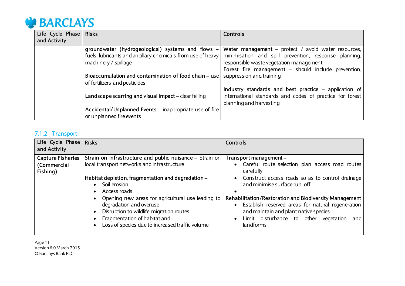

| Life Cycle Phase | <b>Risks</b>                                                                                                                             | Controls                                                                                                                                                       |
|------------------|------------------------------------------------------------------------------------------------------------------------------------------|----------------------------------------------------------------------------------------------------------------------------------------------------------------|
| and Activity     |                                                                                                                                          |                                                                                                                                                                |
|                  | groundwater (hydrogeological) systems and flows -<br>fuels, lubricants and ancillary chemicals from use of heavy<br>machinery / spillage | <b>Water management</b> – protect / avoid water resources,<br>minimisation and spill prevention, response planning,<br>responsible waste vegetation management |
|                  |                                                                                                                                          | Forest fire management - should include prevention,                                                                                                            |
|                  | Bioaccumulation and contamination of food chain – use<br>of fertilizers and pesticides                                                   | suppression and training                                                                                                                                       |
|                  | Landscape scarring and visual impact - clear felling                                                                                     | Industry standards and best practice - application of<br>international standards and codes of practice for forest<br>planning and harvesting                   |
|                  | Accidental/Unplanned Events – inappropriate use of fire<br>or unplanned fire events                                                      |                                                                                                                                                                |

## 7.1.2 Transport

| Life Cycle Phase Risks<br>and Activity              |                                                                                                                                                                                                                                                                                                                                                                                                                              | <b>Controls</b>                                                                                                                                                                                                                                                                                                                                                                                                               |
|-----------------------------------------------------|------------------------------------------------------------------------------------------------------------------------------------------------------------------------------------------------------------------------------------------------------------------------------------------------------------------------------------------------------------------------------------------------------------------------------|-------------------------------------------------------------------------------------------------------------------------------------------------------------------------------------------------------------------------------------------------------------------------------------------------------------------------------------------------------------------------------------------------------------------------------|
| <b>Capture Fisheries</b><br>(Commercial<br>Fishing) | Strain on infrastructure and public nuisance - Strain on<br>local transport networks and infrastructure<br>Habitat depletion, fragmentation and degradation -<br>• Soil erosion<br>Access roads<br>$\bullet$<br>Opening new areas for agricultural use leading to<br>degradation and overuse<br>Disruption to wildlife migration routes,<br>Fragmentation of habitat and;<br>Loss of species due to increased traffic volume | Transport management -<br>• Careful route selection plan access road routes<br>carefully<br>• Construct access roads so as to control drainage<br>and minimise surface run-off<br>Rehabilitation/Restoration and Biodiversity Management<br>Establish reserved areas for natural regeneration<br>$\bullet$<br>and maintain and plant native species<br>Limit disturbance to other vegetation<br>and<br>$\bullet$<br>landforms |

Page 11 Version 6.0 March 2015 © Barclays Bank PLC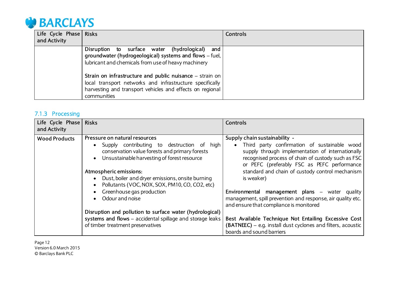

| Life Cycle Phase Risks<br>and Activity |                                                                                                                                                                                                    | Controls |
|----------------------------------------|----------------------------------------------------------------------------------------------------------------------------------------------------------------------------------------------------|----------|
|                                        | Disruption to surface water (hydrological)<br>and<br>groundwater (hydrogeological) systems and flows - fuel,<br>lubricant and chemicals from use of heavy machinery                                |          |
|                                        | Strain on infrastructure and public nuisance $-$ strain on<br>local transport networks and infrastructure specifically<br>harvesting and transport vehicles and effects on regional<br>communities |          |

## 7.1.3 Processing

| Life Cycle Phase Risks<br>and Activity |                                                                                                                                                                                                                                                                                                                                                                                                                                 | <b>Controls</b>                                                                                                                                                                                                                                                                                                                                                                                                                                                                  |
|----------------------------------------|---------------------------------------------------------------------------------------------------------------------------------------------------------------------------------------------------------------------------------------------------------------------------------------------------------------------------------------------------------------------------------------------------------------------------------|----------------------------------------------------------------------------------------------------------------------------------------------------------------------------------------------------------------------------------------------------------------------------------------------------------------------------------------------------------------------------------------------------------------------------------------------------------------------------------|
| <b>Wood Products</b>                   | Pressure on natural resources<br>Supply contributing to destruction of high<br>$\bullet$<br>conservation value forests and primary forests<br>Unsustainable harvesting of forest resource<br>$\bullet$<br>Atmospheric emissions:<br>• Dust, boiler and dryer emissions, onsite burning<br>Pollutants (VOC, NOX, SOX, PM10, CO, CO2, etc)<br>$\bullet$<br>Greenhouse gas production<br>$\bullet$<br>Odour and noise<br>$\bullet$ | Supply chain sustainability -<br>Third party confirmation of sustainable wood<br>$\bullet$<br>supply through implementation of internationally<br>recognised process of chain of custody such as FSC<br>or PEFC (preferably FSC as PEFC performance<br>standard and chain of custody control mechanism<br>is weaker)<br>Environmental management plans - water quality<br>management, spill prevention and response, air quality etc.<br>and ensure that compliance is monitored |
|                                        | Disruption and pollution to surface water (hydrological)<br>systems and flows - accidental spillage and storage leaks<br>of timber treatment preservatives                                                                                                                                                                                                                                                                      | Best Available Technique Not Entailing Excessive Cost<br>(BATNEEC) - e.g. install dust cyclones and filters, acoustic<br>boards and sound barriers                                                                                                                                                                                                                                                                                                                               |

Page 12 Version 6.0 March 2015 © Barclays Bank PLC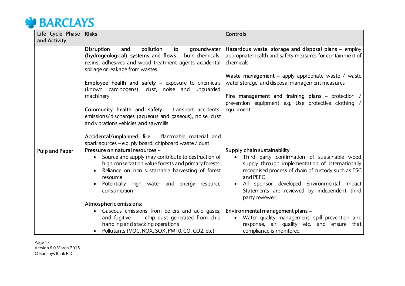

| Life Cycle Phase      | <b>Risks</b>                                                                                                                                                                                                                           | <b>Controls</b>                                                                                                                                                                                                                                                                    |
|-----------------------|----------------------------------------------------------------------------------------------------------------------------------------------------------------------------------------------------------------------------------------|------------------------------------------------------------------------------------------------------------------------------------------------------------------------------------------------------------------------------------------------------------------------------------|
| and Activity          |                                                                                                                                                                                                                                        |                                                                                                                                                                                                                                                                                    |
|                       | <b>Disruption</b><br>pollution<br>and<br>groundwater<br>to<br>(hydrogeological) systems and flows – bulk chemicals,<br>resins, adhesives and wood treatment agents accidental<br>spillage or leakage from wastes                       | Hazardous waste, storage and disposal plans - employ<br>appropriate health and safety measures for containment of<br>chemicals                                                                                                                                                     |
|                       | <b>Employee health and safety</b> $-$ exposure to chemicals<br>(known carcinogens), dust, noise and unguarded                                                                                                                          | Waste management - apply appropriate waste / waste<br>water storage, and disposal management measures                                                                                                                                                                              |
|                       | machinery<br>Community health and safety – transport accidents,                                                                                                                                                                        | Fire management and training plans - protection /<br>prevention equipment e.g. Use protective clothing /<br>equipment                                                                                                                                                              |
|                       | emissions/discharges (aqueous and gaseous), noise, dust<br>and vibrations vehicles and sawmills                                                                                                                                        |                                                                                                                                                                                                                                                                                    |
|                       | Accidental/unplanned fire – flammable material and<br>spark sources – e.g. ply board, chipboard waste / dust                                                                                                                           |                                                                                                                                                                                                                                                                                    |
| <b>Pulp and Paper</b> | Pressure on natural resources -                                                                                                                                                                                                        | Supply chain sustainability                                                                                                                                                                                                                                                        |
|                       | Source and supply may contribute to destruction of<br>high conservation value forests and primary forests<br>Reliance on non-sustainable harvesting of forest<br>resource<br>Potentially high water and energy resource<br>consumption | Third party confirmation of sustainable wood<br>supply through implementation of internationally<br>recognised process of chain of custody such as FSC<br>and PEFC<br>All sponsor developed Environmental Impact<br>Statements are reviewed by independent third<br>party reviewer |
|                       | Atmospheric emissions:                                                                                                                                                                                                                 |                                                                                                                                                                                                                                                                                    |
|                       | Gaseous emissions from boilers and acid gases,<br>chip dust generated from chip<br>and fugitive<br>handling and stacking operations<br>Pollutants (VOC, NOX, SOX, PM10, CO, CO2, etc)                                                  | Environmental management plans-<br>Water quality management, spill prevention and<br>$\bullet$<br>response, air quality etc. and ensure that<br>compliance is monitored                                                                                                            |

Page 13 Version 6.0 March 2015 © Barclays Bank PLC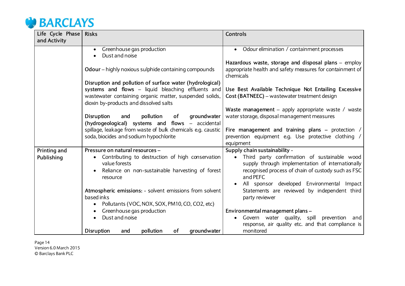

| Life Cycle Phase<br>and Activity | <b>Risks</b>                                                                                                                      | <b>Controls</b>                                                                                                                                                                 |
|----------------------------------|-----------------------------------------------------------------------------------------------------------------------------------|---------------------------------------------------------------------------------------------------------------------------------------------------------------------------------|
|                                  |                                                                                                                                   |                                                                                                                                                                                 |
|                                  | Greenhouse gas production<br>$\bullet$                                                                                            | Odour elimination / containment processes<br>$\bullet$                                                                                                                          |
|                                  | Dust and noise                                                                                                                    |                                                                                                                                                                                 |
|                                  | <b>Odour</b> – highly noxious sulphide containing compounds                                                                       | Hazardous waste, storage and disposal plans - employ<br>appropriate health and safety measures for containment of<br>chemicals                                                  |
|                                  | Disruption and pollution of surface water (hydrological)                                                                          |                                                                                                                                                                                 |
|                                  | systems and flows - liquid bleaching effluents and                                                                                | Use Best Available Technique Not Entailing Excessive                                                                                                                            |
|                                  | wastewater containing organic matter, suspended solids,                                                                           | Cost (BATNEEC) - wastewater treatment design                                                                                                                                    |
|                                  | dioxin by-products and dissolved salts                                                                                            |                                                                                                                                                                                 |
|                                  |                                                                                                                                   | Waste management - apply appropriate waste / waste                                                                                                                              |
|                                  | <b>Disruption</b><br>groundwater<br>pollution<br>of<br>and                                                                        | water storage, disposal management measures                                                                                                                                     |
|                                  | (hydrogeological) systems and flows - accidental                                                                                  |                                                                                                                                                                                 |
|                                  | spillage, leakage from waste of bulk chemicals e.g. caustic                                                                       | Fire management and training plans - protection                                                                                                                                 |
|                                  | soda, biocides and sodium hypochlorite                                                                                            | prevention equipment e.g. Use protective clothing /<br>equipment                                                                                                                |
| <b>Printing and</b>              | Pressure on natural resources -                                                                                                   | Supply chain sustainability -                                                                                                                                                   |
| Publishing                       | Contributing to destruction of high conservation<br>value forests<br>Reliance on non-sustainable harvesting of forest<br>resource | Third party confirmation of sustainable wood<br>$\bullet$<br>supply through implementation of internationally<br>recognised process of chain of custody such as FSC<br>and PEFC |
|                                  |                                                                                                                                   | All sponsor developed Environmental Impact<br>$\bullet$                                                                                                                         |
|                                  | Atmospheric emissions: - solvent emissions from solvent<br>based inks                                                             | Statements are reviewed by independent third                                                                                                                                    |
|                                  |                                                                                                                                   | party reviewer                                                                                                                                                                  |
|                                  | Pollutants (VOC, NOX, SOX, PM10, CO, CO2, etc)<br>$\bullet$<br>Greenhouse gas production                                          | Environmental management plans-                                                                                                                                                 |
|                                  | Dust and noise                                                                                                                    |                                                                                                                                                                                 |
|                                  |                                                                                                                                   | Govern water quality, spill prevention<br>and<br>$\bullet$<br>response, air quality etc. and that compliance is                                                                 |
|                                  | of<br><b>Disruption</b><br>pollution<br>groundwater<br>and                                                                        | monitored                                                                                                                                                                       |

Page 14 Version 6.0 March 2015 © Barclays Bank PLC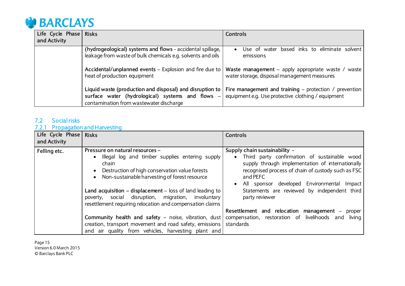

| Life Cycle Phase | <b>Risks</b>                                                                                                                                                  | Controls                                                                                                                                                      |
|------------------|---------------------------------------------------------------------------------------------------------------------------------------------------------------|---------------------------------------------------------------------------------------------------------------------------------------------------------------|
| and Activity     |                                                                                                                                                               |                                                                                                                                                               |
|                  | (hydrogeological) systems and flows - accidental spillage,<br>leakage from waste of bulk chemicals e.g. solvents and oils                                     | Use of water based inks to eliminate solvent<br>$\bullet$<br>emissions                                                                                        |
|                  | heat of production equipment                                                                                                                                  | Accidental/unplanned events - Explosion and fire due to   Waste management - apply appropriate waste / waste  <br>water storage, disposal management measures |
|                  | Liquid waste (production and disposal) and disruption to<br>surface water (hydrological) systems and flows<br>$-1$<br>contamination from wastewater discharge | Fire management and training – protection / prevention $\vert$<br>equipment e.g. Use protective clothing / equipment                                          |

## 7.2 Social risks

#### 7.2.1 Propagation and Harvesting

| Life Cycle Phase Risks<br>and Activity |                                                                                                                                                                                                                                                                                                                                                                                      | <b>Controls</b>                                                                                                                                                                                                                                                                                                                    |
|----------------------------------------|--------------------------------------------------------------------------------------------------------------------------------------------------------------------------------------------------------------------------------------------------------------------------------------------------------------------------------------------------------------------------------------|------------------------------------------------------------------------------------------------------------------------------------------------------------------------------------------------------------------------------------------------------------------------------------------------------------------------------------|
| Felling etc.                           | Pressure on natural resources -<br>. Illegal log and timber supplies entering supply<br>chain<br>Destruction of high conservation value forests<br>Non-sustainable harvesting of forest resource<br>Land acquisition $-$ displacement $-$ loss of land leading to<br>poverty, social disruption, migration, involuntary<br>resettlement requiring relocation and compensation claims | Supply chain sustainability -<br>• Third party confirmation of sustainable wood<br>supply through implementation of internationally<br>recognised process of chain of custody such as FSC<br>and PEFC<br>All sponsor developed Environmental Impact<br>$\bullet$<br>Statements are reviewed by independent third<br>party reviewer |
|                                        | <b>Community health and safety</b> – noise, vibration, dust compensation, restoration of livelihoods and<br>creation, transport movement and road safety, emissions   standards<br>and air quality from vehicles, harvesting plant and                                                                                                                                               | Resettlement and relocation management - proper<br>living                                                                                                                                                                                                                                                                          |

Page 15 Version 6.0 March 2015 © Barclays Bank PLC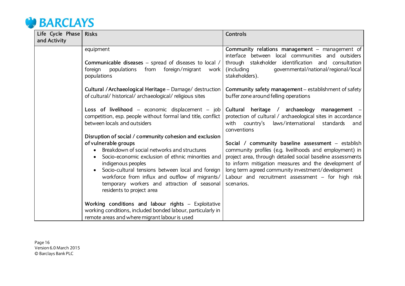

| Life Cycle Phase | <b>Risks</b>                                                                                                                                                                                                                                                                                                                                                                                  | <b>Controls</b>                                                                                                                                                                                                                                                                                                                                               |
|------------------|-----------------------------------------------------------------------------------------------------------------------------------------------------------------------------------------------------------------------------------------------------------------------------------------------------------------------------------------------------------------------------------------------|---------------------------------------------------------------------------------------------------------------------------------------------------------------------------------------------------------------------------------------------------------------------------------------------------------------------------------------------------------------|
| and Activity     |                                                                                                                                                                                                                                                                                                                                                                                               |                                                                                                                                                                                                                                                                                                                                                               |
|                  | equipment                                                                                                                                                                                                                                                                                                                                                                                     | Community relations management - management of<br>interface between local communities and outsiders                                                                                                                                                                                                                                                           |
|                  | Communicable diseases - spread of diseases to local /<br>foreign/migrant<br>foreign<br>populations<br>from<br>work<br>populations                                                                                                                                                                                                                                                             | through stakeholder identification and consultation<br>governmental/national/regional/local<br>(including<br>stakeholders).                                                                                                                                                                                                                                   |
|                  | Cultural / Archaeological Heritage - Damage/ destruction<br>of cultural/ historical/ archaeological/ religious sites                                                                                                                                                                                                                                                                          | Community safety management – establishment of safety<br>buffer zone around felling operations                                                                                                                                                                                                                                                                |
|                  | Loss of livelihood $-$ economic displacement $-$ job<br>competition, esp. people without formal land title, conflict<br>between locals and outsiders                                                                                                                                                                                                                                          | Cultural heritage / archaeology<br>management<br>protection of cultural / archaeological sites in accordance<br>laws/international<br>with<br>country's<br>standards<br>and<br>conventions                                                                                                                                                                    |
|                  | Disruption of social / community cohesion and exclusion<br>of vulnerable groups<br>Breakdown of social networks and structures<br>Socio-economic exclusion of ethnic minorities and<br>indigenous peoples<br>Socio-cultural tensions between local and foreign<br>workforce from influx and outflow of migrants/<br>temporary workers and attraction of seasonal<br>residents to project area | Social / community baseline assessment - establish<br>community profiles (e.g. livelihoods and employment) in<br>project area, through detailed social baseline assessments<br>to inform mitigation measures and the development of<br>long term agreed community investment/development<br>Labour and recruitment assessment $-$ for high risk<br>scenarios. |
|                  | Working conditions and labour rights - Exploitative<br>working conditions, included bonded labour, particularly in<br>remote areas and where migrant labour is used                                                                                                                                                                                                                           |                                                                                                                                                                                                                                                                                                                                                               |

Page 16 Version 6.0 March 2015 © Barclays Bank PLC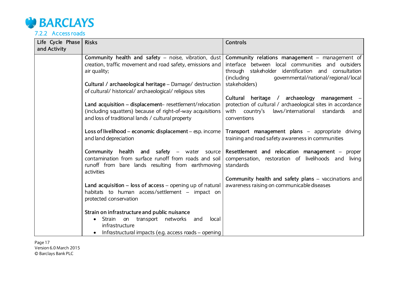

7.2.2 Access roads

| Life Cycle Phase<br>and Activity | <b>Risks</b>                                                                                                                                                                                      | <b>Controls</b>                                                                                                                                                                                                                                                                        |
|----------------------------------|---------------------------------------------------------------------------------------------------------------------------------------------------------------------------------------------------|----------------------------------------------------------------------------------------------------------------------------------------------------------------------------------------------------------------------------------------------------------------------------------------|
|                                  | creation, traffic movement and road safety, emissions and<br>air quality;<br>Cultural / archaeological heritage - Damage/ destruction<br>of cultural/ historical/ archaeological/ religious sites | Community health and safety – noise, vibration, dust Community relations management – management of<br>interface between local communities and outsiders<br>through stakeholder identification and consultation<br>(including<br>qovernmental/national/regional/local<br>stakeholders) |
|                                  | Land acquisition - displacement-resettlement/relocation<br>(including squatters) because of right-of-way acquisitions<br>and loss of traditional lands / cultural property                        | Cultural heritage / archaeology<br>management -<br>protection of cultural / archaeological sites in accordance<br>laws/international standards<br>with country's<br>and<br>conventions                                                                                                 |
|                                  | Loss of livelihood – economic displacement – esp. income<br>and land depreciation                                                                                                                 | Transport management plans - appropriate driving<br>training and road safety awareness in communities                                                                                                                                                                                  |
|                                  | Community health and safety $-$ water source<br>contamination from surface runoff from roads and soil<br>runoff from bare lands resulting from earthmoving<br>activities                          | Resettlement and relocation management - proper<br>compensation, restoration of livelihoods and living<br>standards                                                                                                                                                                    |
|                                  | Land acquisition $-$ loss of access $-$ opening up of natural<br>habitats to human access/settlement - impact on<br>protected conservation                                                        | Community health and safety plans - vaccinations and<br>awareness raising on communicable diseases                                                                                                                                                                                     |
|                                  | Strain on infrastructure and public nuisance<br>Strain<br>on transport networks<br>and<br>local<br>infrastructure<br>Infrastructural impacts (e.g. access roads – opening                         |                                                                                                                                                                                                                                                                                        |

Page 17 Version 6.0 March 2015 © Barclays Bank PLC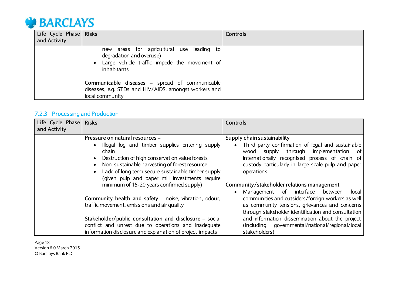

| Life Cycle Phase Risks<br>and Activity |                                                                                                                                        | <b>Controls</b> |
|----------------------------------------|----------------------------------------------------------------------------------------------------------------------------------------|-----------------|
|                                        | new areas for agricultural use leading to<br>degradation and overuse)<br>• Large vehicle traffic impede the movement of<br>inhabitants |                 |
|                                        | <b>Communicable diseases</b> – spread of communicable<br>diseases, e.g. STDs and HIV/AIDS, amongst workers and<br>local community      |                 |

## 7.2.3 Processing and Production

| Life Cycle Phase Risks<br>and Activity |                                                                                                                                                                                                                                                                                                          | <b>Controls</b>                                                                                                                                                                                                                                                      |
|----------------------------------------|----------------------------------------------------------------------------------------------------------------------------------------------------------------------------------------------------------------------------------------------------------------------------------------------------------|----------------------------------------------------------------------------------------------------------------------------------------------------------------------------------------------------------------------------------------------------------------------|
|                                        | Pressure on natural resources -<br>Illegal log and timber supplies entering supply<br>$\bullet$<br>chain<br>Destruction of high conservation value forests<br>$\bullet$<br>Non-sustainable harvesting of forest resource<br>$\bullet$<br>Lack of long term secure sustainable timber supply<br>$\bullet$ | Supply chain sustainability<br>Third party confirmation of legal and sustainable<br>$\bullet$<br>supply through implementation<br>wood<br>. of<br>internationally recognised process of chain of<br>custody particularly in large scale pulp and paper<br>operations |
|                                        | (given pulp and paper mill investments require<br>minimum of 15-20 years confirmed supply)                                                                                                                                                                                                               | Community/stakeholder relations management<br>Management of interface between<br>local<br>$\bullet$                                                                                                                                                                  |
|                                        | Community health and safety - noise, vibration, odour,<br>traffic movement, emissions and air quality                                                                                                                                                                                                    | communities and outsiders/foreign workers as well<br>as community tensions, grievances and concerns<br>through stakeholder identification and consultation                                                                                                           |
|                                        | Stakeholder/public consultation and disclosure – social<br>conflict and unrest due to operations and inadequate<br>information disclosure and explanation of project impacts                                                                                                                             | and information dissemination about the project<br>(including governmental/national/regional/local<br>stakeholders)                                                                                                                                                  |

Page 18 Version 6.0 March 2015 © Barclays Bank PLC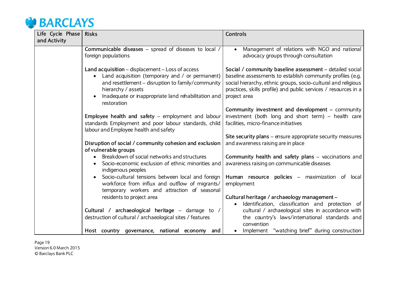

| Life Cycle Phase | <b>Risks</b>                                                                                                                                                                                                                                         | <b>Controls</b>                                                                                                                                                                                                                                                            |
|------------------|------------------------------------------------------------------------------------------------------------------------------------------------------------------------------------------------------------------------------------------------------|----------------------------------------------------------------------------------------------------------------------------------------------------------------------------------------------------------------------------------------------------------------------------|
| and Activity     |                                                                                                                                                                                                                                                      |                                                                                                                                                                                                                                                                            |
|                  | Communicable diseases - spread of diseases to local /<br>foreign populations                                                                                                                                                                         | Management of relations with NGO and national<br>$\bullet$<br>advocacy groups through consultation                                                                                                                                                                         |
|                  | Land acquisition - displacement - Loss of access<br>Land acquisition (temporary and / or permanent)<br>and resettlement - disruption to family/community<br>hierarchy / assets<br>Inadequate or inappropriate land rehabilitation and<br>restoration | Social / community baseline assessment - detailed social<br>baseline assessments to establish community profiles (e.g.<br>social hierarchy, ethnic groups, socio-cultural and religious<br>practices, skills profile) and public services / resources in a<br>project area |
|                  | Employee health and safety – employment and labour<br>standards Employment and poor labour standards, child<br>labour and Employee health and safety                                                                                                 | Community investment and development - community<br>investment (both long and short term) - health care<br>facilities, micro-finance initiatives                                                                                                                           |
|                  | Disruption of social / community cohesion and exclusion<br>of vulnerable groups                                                                                                                                                                      | Site security plans - ensure appropriate security measures<br>and awareness raising are in place                                                                                                                                                                           |
|                  | Breakdown of social networks and structures<br>Socio-economic exclusion of ethnic minorities and<br>indigenous peoples                                                                                                                               | Community health and safety plans - vaccinations and<br>awareness raising on communicable diseases                                                                                                                                                                         |
|                  | Socio-cultural tensions between local and foreign<br>workforce from influx and outflow of migrants/<br>temporary workers and attraction of seasonal                                                                                                  | Human resource policies – maximization of local<br>employment                                                                                                                                                                                                              |
|                  | residents to project area                                                                                                                                                                                                                            | Cultural heritage / archaeology management -<br>Identification, classification and protection of<br>$\bullet$                                                                                                                                                              |
|                  | Cultural / archaeological heritage - damage to /<br>destruction of cultural / archaeological sites / features                                                                                                                                        | cultural / archaeological sites in accordance with<br>the country's laws/intemational standards and<br>convention                                                                                                                                                          |
|                  | Host country governance, national economy and                                                                                                                                                                                                        | Implement "watching brief" during construction                                                                                                                                                                                                                             |

Page 19 Version 6.0 March 2015 © Barclays Bank PLC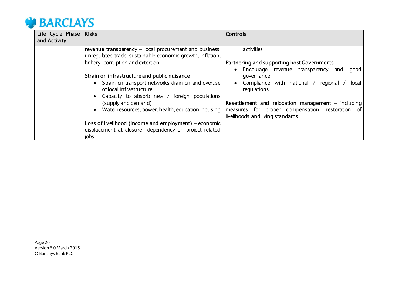

| Life Cycle Phase Risks |                                                                                                                                | <b>Controls</b>                                                                                                                            |
|------------------------|--------------------------------------------------------------------------------------------------------------------------------|--------------------------------------------------------------------------------------------------------------------------------------------|
| and Activity           |                                                                                                                                |                                                                                                                                            |
|                        | revenue transparency – local procurement and business,<br>unregulated trade, sustainable economic growth, inflation,           | activities                                                                                                                                 |
|                        | bribery, corruption and extortion                                                                                              | Partnering and supporting host Governments -                                                                                               |
|                        | Strain on infrastructure and public nuisance                                                                                   | Encourage revenue transparency<br>and<br>good<br>$\bullet$<br>governance                                                                   |
|                        | • Strain on transport networks drain on and overuse<br>of local infrastructure<br>Capacity to absorb new / foreign populations | Compliance with national /<br>regional<br>local<br>$\bullet$<br>regulations                                                                |
|                        | (supply and demand)<br>Water resources, power, health, education, housing                                                      | Resettlement and relocation management - including<br>measures for proper compensation, restoration of<br>livelihoods and living standards |
|                        | Loss of livelihood (income and employment) $-$ economic                                                                        |                                                                                                                                            |
|                        | displacement at closure- dependency on project related                                                                         |                                                                                                                                            |
|                        | jobs                                                                                                                           |                                                                                                                                            |

Page 20 Version 6.0 March 2015 © Barclays Bank PLC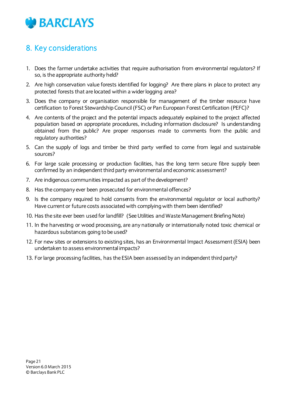

## <span id="page-20-0"></span>8. Key considerations

- 1. Does the farmer undertake activities that require authorisation from environmental regulators? If so, is the appropriate authority held?
- 2. Are high conservation value forests identified for logging? Are there plans in place to protect any protected forests that are located within a wider logging area?
- 3. Does the company or organisation responsible for management of the timber resource have certification to Forest Stewardship Council (FSC) or Pan European Forest Certification (PEFC)?
- 4. Are contents of the project and the potential impacts adequately explained to the project affected population based on appropriate procedures, including information disclosure? Is understanding obtained from the public? Are proper responses made to comments from the public and regulatory authorities?
- 5. Can the supply of logs and timber be third party verified to come from legal and sustainable sources?
- 6. For large scale processing or production facilities, has the long term secure fibre supply been confirmed by an independent third party environmental and economic assessment?
- 7. Are indigenous communities impacted as part of the development?
- 8. Has the company ever been prosecuted for environmental offences?
- 9. Is the company required to hold consents from the environmental regulator or local authority? Have current or future costs associated with complying with them been identified?
- 10. Has the site ever been used for landfill? (See Utilities and Waste Management Briefing Note)
- 11. In the harvesting or wood processing, are any nationally or internationally noted toxic chemical or hazardous substances going to be used?
- 12. For new sites or extensions to existing sites, has an Environmental Impact Assessment (ESIA) been undertaken to assess environmental impacts?
- 13. For large processing facilities, has the ESIA been assessed by an independent third party?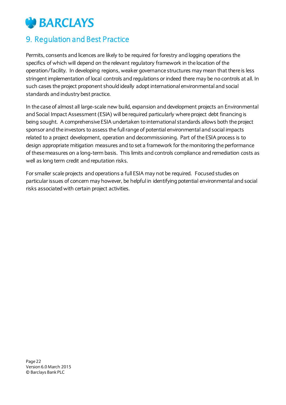## **CONTRACTE BARCLAYS**

## <span id="page-21-0"></span>9. Regulation and Best Practice

Permits, consents and licences are likely to be required for forestry and logging operations the specifics of which will depend on the relevant regulatory framework in the location of the operation/facility. In developing regions, weaker governance structures may mean that there is less stringent implementation of local controls and regulations or indeed there may be no controls at all. In such cases the project proponent should ideally adopt international environmental and social standards and industry best practice.

In the case of almost all large-scale new build, expansion and development projects an Environmental and Social Impact Assessment (ESIA) will be required particularly where project debt financing is being sought. A comprehensive ESIA undertaken to international standards allows both the project sponsor and the investors to assess the full range of potential environmental and social impacts related to a project development, operation and decommissioning. Part of the ESIA process is to design appropriate mitigation measures and to set a framework for the monitoring the performance of these measures on a long-term basis. This limits and controls compliance and remediation costs as well as long term credit and reputation risks.

For smaller scale projects and operations a full ESIA may not be required. Focused studies on particular issues of concern may however, be helpful in identifying potential environmental and social risks associated with certain project activities.

Page 22 Version 6.0 March 2015 © Barclays Bank PLC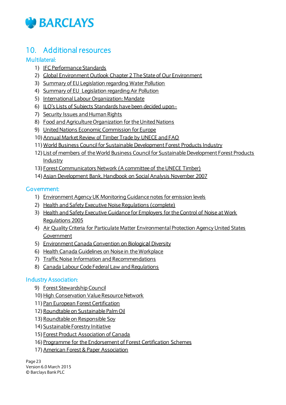

## <span id="page-22-0"></span>10. Additional resources

#### Multilateral:

- 1) [IFC Performance Standards](http://www.ifc.org/wps/wcm/connect/topics_ext_content/ifc_external_corporate_site/ifc+sustainability/publications/publications_handbook_pps)
- 2) [Global Environment Outlook Chapter 2 The State of Our Environment](http://www.unep.org/geo/pdfs/geo5/GEO5_report_full_en.pdf)
- 3) [Summary of EU Legislation regarding Water Pollution](http://europa.eu/legislation_summaries/environment/water_protection_management/)
- 4) [Summary of EU Legislation regarding Air Pollution](http://europa.eu/legislation_summaries/environment/air_pollution/)
- 5) [International Labour Organization: Mandate](http://www.ilo.org/public/english/about/mandate.htm)
- 6) [ILO's Lists of Subjects Standards have been decided upon](http://www.ilo.org/ilolex/english/subjectE.htm)-
- 7) [Security Issues and Human Rights](http://groupspaces.intranet.barclays.co.uk/sites/grouprisk/Documents/Our%20Teams/Credit%20Risk/Environmental%20Risk/Security%20Issues%20and%20Human%20Rights%20-%20Voluntary%20Principles)
- 8) [Food and Agriculture Organization for the United Nations](http://www.fao.org/home/en/)
- 9) [United Nations Economic Commission for Europe](http://www.unece.org/forests.html)
- 10) Annual Market Review of Timber Trade by UNECE and FAO
- 11) [World Business Council for Sustainable](http://www.wbcsd.org/work-program/sector-projects/sustainable-forest-products-industry.aspx) Development Forest Products Industry
- 12) [List of members of the World Business Council for Sustainable Development Forest Products](http://www.wbcsd.org/work-program/sector-projects/sustainable-forest-products-industry.aspx)  [Industry](http://www.wbcsd.org/work-program/sector-projects/sustainable-forest-products-industry.aspx)
- 13) [Forest Communicators Network \(A committee of the UNECE Timber\)](http://www.unece.org/forests/information/fcn.html)
- 14) Asian Development Bank, Handbook on Social Analysis November 2007

#### Government:

- 1) [Environment Agency UK Monitoring Guidance notes for emission levels](http://www.environment-agency.gov.uk/business/regulation/31829.aspx)
- 2) [Health and Safety Executive Noise Regulations \(complete\)](http://www.hse.gov.uk/noise/)
- 3) [Health and Safety Executive Guidance for Employers for the Control of Noise at Work](http://www.legislation.gov.uk/uksi/2005/1643/contents/made)  [Regulations 2005](http://www.legislation.gov.uk/uksi/2005/1643/contents/made)
- 4) [Air Quality Criteria for Particulate Matter Environmental Protection Agency United States](http://cfpub2.epa.gov/ncea/cfm/recordisplay.cfm?deid=87903)  [Government](http://cfpub2.epa.gov/ncea/cfm/recordisplay.cfm?deid=87903)
- 5) [Environment Canada Convention on Biologic](http://www.ec.gc.ca/habitat/default.asp?lang=En&n=7127734D-1)al Diversity
- 6) [Health Canada Guidelines on Noise in the Workplace](http://www.hc-sc.gc.ca/ewh-semt/noise-bruit/index-eng.php)
- 7) [Traffic Noise Information and Recommendations](http://www.hc-sc.gc.ca/ewh-semt/noise-bruit/commun/index-eng.php)
- 8) [Canada Labour Code Federal Law and Regulations](http://www.labour.gc.ca/eng/resources/laws/index.shtml)

#### Industry Association:

- 9) [Forest Stewardship Council](https://ic.fsc.org/index.htm)
- 10) High Conservation Value Resource Network
- 11) [Pan European Forest Certification](http://www.pefc.co.uk/)
- 12) [Roundtable on Sustainable Palm Oil](http://www.rspo.org/)
- 13) [Roundtable on Responsible Soy](http://www.responsiblesoy.org/)
- 14) [Sustainable Forestry Initiative](http://www.sfiprogram.org/)
- 15) [Forest Product Association of Canada](http://www.fpac.ca/index.php/en/)
- 16) [Programme for the Endorsement of Forest Certification Schemes](http://www.pefc.co.uk/)
- 17) American Forest & Paper Association

Page 23 Version 6.0 March 2015 © Barclays Bank PLC